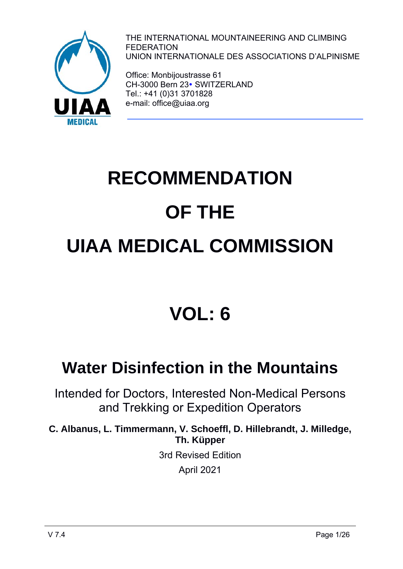

THE INTERNATIONAL MOUNTAINEERING AND CLIMBING FEDERATION UNION INTERNATIONALE DES ASSOCIATIONS D'ALPINISME

Office: Monbijoustrasse 61 CH-3000 Bern 23 · SWITZERLAND Tel.: +41 (0)31 3701828 e-mail: office@uiaa.org

# **RECOMMENDATION OF THE UIAA MEDICAL COMMISSION**

# **VOL: 6**

# **Water Disinfection in the Mountains**

Intended for Doctors, Interested Non-Medical Persons and Trekking or Expedition Operators

**C. Albanus, L. Timmermann, V. Schoeffl, D. Hillebrandt, J. Milledge, Th. Küpper** 3rd Revised Edition

April 2021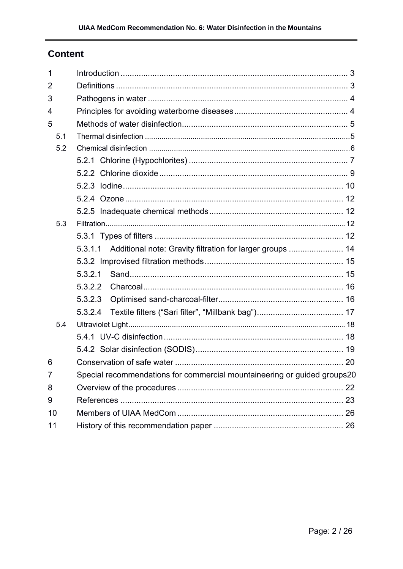# **Content**

| 1              |                                                                          |  |  |  |  |
|----------------|--------------------------------------------------------------------------|--|--|--|--|
| 2              |                                                                          |  |  |  |  |
| 3              |                                                                          |  |  |  |  |
| 4              |                                                                          |  |  |  |  |
| 5              |                                                                          |  |  |  |  |
| 5.1            |                                                                          |  |  |  |  |
| 5.2            |                                                                          |  |  |  |  |
|                |                                                                          |  |  |  |  |
|                |                                                                          |  |  |  |  |
|                |                                                                          |  |  |  |  |
|                |                                                                          |  |  |  |  |
|                |                                                                          |  |  |  |  |
| 5.3            |                                                                          |  |  |  |  |
|                |                                                                          |  |  |  |  |
|                | Additional note: Gravity filtration for larger groups  14<br>5.3.1.1     |  |  |  |  |
|                |                                                                          |  |  |  |  |
|                | 5.3.2.1                                                                  |  |  |  |  |
|                | 5.3.2.2                                                                  |  |  |  |  |
|                | 5.3.2.3                                                                  |  |  |  |  |
|                | 5.3.2.4                                                                  |  |  |  |  |
| 5.4            |                                                                          |  |  |  |  |
|                |                                                                          |  |  |  |  |
|                |                                                                          |  |  |  |  |
| 6              |                                                                          |  |  |  |  |
| $\overline{7}$ | Special recommendations for commercial mountaineering or guided groups20 |  |  |  |  |
| 8              |                                                                          |  |  |  |  |
| 9              |                                                                          |  |  |  |  |
| 10             |                                                                          |  |  |  |  |
| 11             |                                                                          |  |  |  |  |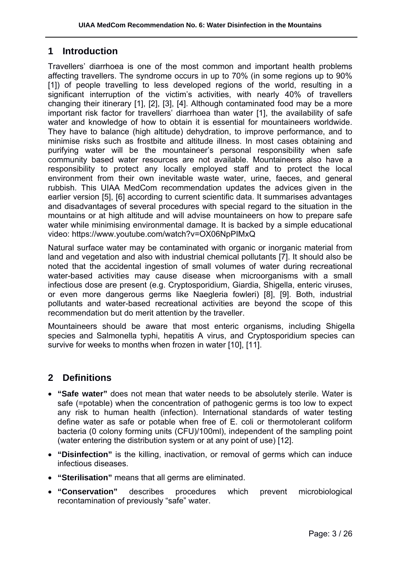# **1 Introduction**

Travellers' diarrhoea is one of the most common and important health problems affecting travellers. The syndrome occurs in up to 70% (in some regions up to 90% [1]) of people travelling to less developed regions of the world, resulting in a significant interruption of the victim's activities, with nearly 40% of travellers changing their itinerary [1], [2], [3], [4]. Although contaminated food may be a more important risk factor for travellers' diarrhoea than water [1], the availability of safe water and knowledge of how to obtain it is essential for mountaineers worldwide. They have to balance (high altitude) dehydration, to improve performance, and to minimise risks such as frostbite and altitude illness. In most cases obtaining and purifying water will be the mountaineer's personal responsibility when safe community based water resources are not available. Mountaineers also have a responsibility to protect any locally employed staff and to protect the local environment from their own inevitable waste water, urine, faeces, and general rubbish. This UIAA MedCom recommendation updates the advices given in the earlier version [5], [6] according to current scientific data. It summarises advantages and disadvantages of several procedures with special regard to the situation in the mountains or at high altitude and will advise mountaineers on how to prepare safe water while minimising environmental damage. It is backed by a simple educational video: https://www.youtube.com/watch?v=OX06NpPIMxQ

Natural surface water may be contaminated with organic or inorganic material from land and vegetation and also with industrial chemical pollutants [7]. It should also be noted that the accidental ingestion of small volumes of water during recreational water-based activities may cause disease when microorganisms with a small infectious dose are present (e.g. Cryptosporidium, Giardia, Shigella, enteric viruses, or even more dangerous germs like Naegleria fowleri) [8], [9]. Both, industrial pollutants and water-based recreational activities are beyond the scope of this recommendation but do merit attention by the traveller.

Mountaineers should be aware that most enteric organisms, including Shigella species and Salmonella typhi, hepatitis A virus, and Cryptosporidium species can survive for weeks to months when frozen in water [10], [11].

# **2 Definitions**

- **"Safe water"** does not mean that water needs to be absolutely sterile. Water is safe (=potable) when the concentration of pathogenic germs is too low to expect any risk to human health (infection). International standards of water testing define water as safe or potable when free of E. coli or thermotolerant coliform bacteria (0 colony forming units (CFU)/100ml), independent of the sampling point (water entering the distribution system or at any point of use) [12].
- **"Disinfection"** is the killing, inactivation, or removal of germs which can induce infectious diseases.
- **"Sterilisation"** means that all germs are eliminated.
- **"Conservation"** describes procedures which prevent microbiological recontamination of previously "safe" water.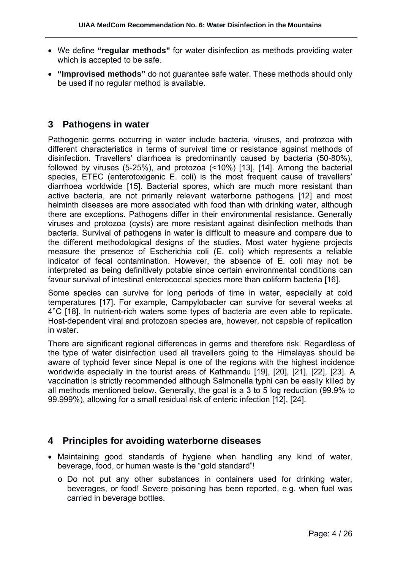- We define **"regular methods"** for water disinfection as methods providing water which is accepted to be safe.
- **"Improvised methods"** do not guarantee safe water. These methods should only be used if no regular method is available.

# **3 Pathogens in water**

Pathogenic germs occurring in water include bacteria, viruses, and protozoa with different characteristics in terms of survival time or resistance against methods of disinfection. Travellers' diarrhoea is predominantly caused by bacteria (50-80%), followed by viruses (5-25%), and protozoa (<10%) [13], [14]. Among the bacterial species, ETEC (enterotoxigenic E. coli) is the most frequent cause of travellers' diarrhoea worldwide [15]. Bacterial spores, which are much more resistant than active bacteria, are not primarily relevant waterborne pathogens [12] and most helminth diseases are more associated with food than with drinking water, although there are exceptions. Pathogens differ in their environmental resistance. Generally viruses and protozoa (cysts) are more resistant against disinfection methods than bacteria. Survival of pathogens in water is difficult to measure and compare due to the different methodological designs of the studies. Most water hygiene projects measure the presence of Escherichia coli (E. coli) which represents a reliable indicator of fecal contamination. However, the absence of E. coli may not be interpreted as being definitively potable since certain environmental conditions can favour survival of intestinal enterococcal species more than coliform bacteria [16].

Some species can survive for long periods of time in water, especially at cold temperatures [17]. For example, Campylobacter can survive for several weeks at 4°C [18]. In nutrient-rich waters some types of bacteria are even able to replicate. Host-dependent viral and protozoan species are, however, not capable of replication in water.

There are significant regional differences in germs and therefore risk. Regardless of the type of water disinfection used all travellers going to the Himalayas should be aware of typhoid fever since Nepal is one of the regions with the highest incidence worldwide especially in the tourist areas of Kathmandu [19], [20], [21], [22], [23]. A vaccination is strictly recommended although Salmonella typhi can be easily killed by all methods mentioned below. Generally, the goal is a 3 to 5 log reduction (99.9% to 99.999%), allowing for a small residual risk of enteric infection [12], [24].

#### **4 Principles for avoiding waterborne diseases**

- Maintaining good standards of hygiene when handling any kind of water, beverage, food, or human waste is the "gold standard"!
	- o Do not put any other substances in containers used for drinking water, beverages, or food! Severe poisoning has been reported, e.g. when fuel was carried in beverage bottles.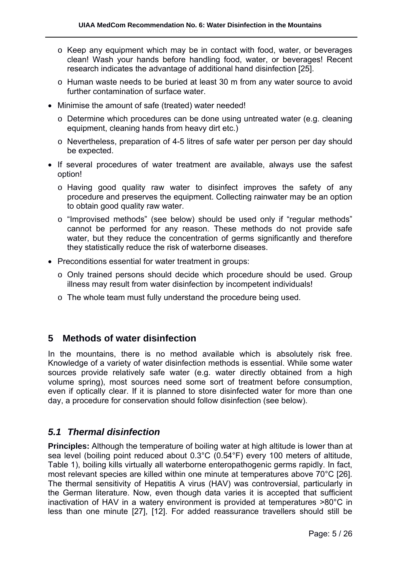- o Keep any equipment which may be in contact with food, water, or beverages clean! Wash your hands before handling food, water, or beverages! Recent research indicates the advantage of additional hand disinfection [25].
- o Human waste needs to be buried at least 30 m from any water source to avoid further contamination of surface water.
- Minimise the amount of safe (treated) water needed!
	- $\circ$  Determine which procedures can be done using untreated water (e.g. cleaning equipment, cleaning hands from heavy dirt etc.)
	- o Nevertheless, preparation of 4-5 litres of safe water per person per day should be expected.
- If several procedures of water treatment are available, always use the safest option!
	- o Having good quality raw water to disinfect improves the safety of any procedure and preserves the equipment. Collecting rainwater may be an option to obtain good quality raw water.
	- o "Improvised methods" (see below) should be used only if "regular methods" cannot be performed for any reason. These methods do not provide safe water, but they reduce the concentration of germs significantly and therefore they statistically reduce the risk of waterborne diseases.
- Preconditions essential for water treatment in groups:
	- o Only trained persons should decide which procedure should be used. Group illness may result from water disinfection by incompetent individuals!
	- o The whole team must fully understand the procedure being used.

# **5 Methods of water disinfection**

In the mountains, there is no method available which is absolutely risk free. Knowledge of a variety of water disinfection methods is essential. While some water sources provide relatively safe water (e.g. water directly obtained from a high volume spring), most sources need some sort of treatment before consumption, even if optically clear. If it is planned to store disinfected water for more than one day, a procedure for conservation should follow disinfection (see below).

# *5.1 Thermal disinfection*

**Principles:** Although the temperature of boiling water at high altitude is lower than at sea level (boiling point reduced about 0.3°C (0.54°F) every 100 meters of altitude, Table 1), boiling kills virtually all waterborne enteropathogenic germs rapidly. In fact, most relevant species are killed within one minute at temperatures above 70°C [26]. The thermal sensitivity of Hepatitis A virus (HAV) was controversial, particularly in the German literature. Now, even though data varies it is accepted that sufficient inactivation of HAV in a watery environment is provided at temperatures >80°C in less than one minute [27], [12]. For added reassurance travellers should still be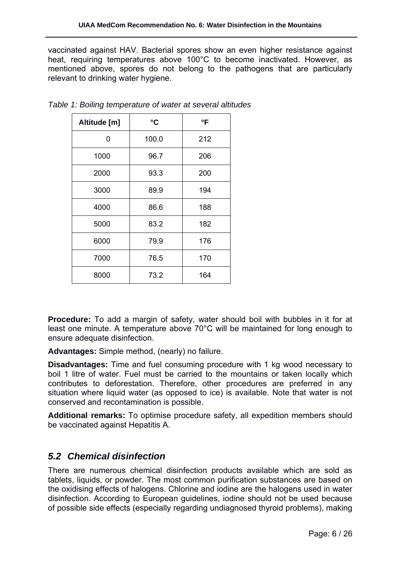vaccinated against HAV. Bacterial spores show an even higher resistance against heat, requiring temperatures above 100°C to become inactivated. However, as mentioned above, spores do not belong to the pathogens that are particularly relevant to drinking water hygiene.

| Altitude [m] | °C    | °F  |
|--------------|-------|-----|
| 0            | 100.0 | 212 |
| 1000         | 96.7  | 206 |
| 2000         | 93.3  | 200 |
| 3000         | 89.9  | 194 |
| 4000         | 86.6  | 188 |
| 5000         | 83.2  | 182 |
| 6000         | 79.9  | 176 |
| 7000         | 76.5  | 170 |
| 8000         | 73.2  | 164 |

*Table 1: Boiling temperature of water at several altitudes* 

**Procedure:** To add a margin of safety, water should boil with bubbles in it for at least one minute. A temperature above 70°C will be maintained for long enough to ensure adequate disinfection.

**Advantages:** Simple method, (nearly) no failure.

**Disadvantages:** Time and fuel consuming procedure with 1 kg wood necessary to boil 1 litre of water. Fuel must be carried to the mountains or taken locally which contributes to deforestation. Therefore, other procedures are preferred in any situation where liquid water (as opposed to ice) is available. Note that water is not conserved and recontamination is possible.

**Additional remarks:** To optimise procedure safety, all expedition members should be vaccinated against Hepatitis A.

# *5.2 Chemical disinfection*

There are numerous chemical disinfection products available which are sold as tablets, liquids, or powder. The most common purification substances are based on the oxidising effects of halogens. Chlorine and iodine are the halogens used in water disinfection. According to European guidelines, iodine should not be used because of possible side effects (especially regarding undiagnosed thyroid problems), making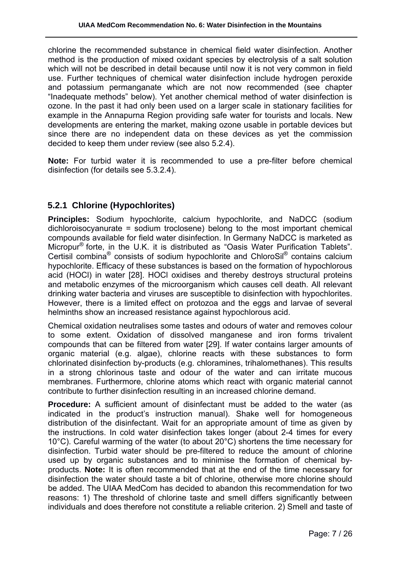chlorine the recommended substance in chemical field water disinfection. Another method is the production of mixed oxidant species by electrolysis of a salt solution which will not be described in detail because until now it is not very common in field use. Further techniques of chemical water disinfection include hydrogen peroxide and potassium permanganate which are not now recommended (see chapter "Inadequate methods" below). Yet another chemical method of water disinfection is ozone. In the past it had only been used on a larger scale in stationary facilities for example in the Annapurna Region providing safe water for tourists and locals. New developments are entering the market, making ozone usable in portable devices but since there are no independent data on these devices as yet the commission decided to keep them under review (see also 5.2.4).

**Note:** For turbid water it is recommended to use a pre-filter before chemical disinfection (for details see 5.3.2.4).

# **5.2.1 Chlorine (Hypochlorites)**

**Principles:** Sodium hypochlorite, calcium hypochlorite, and NaDCC (sodium dichloroisocyanurate = sodium troclosene) belong to the most important chemical compounds available for field water disinfection. In Germany NaDCC is marketed as Micropur® forte, in the U.K. it is distributed as "Oasis Water Purification Tablets". Certisil combina® consists of sodium hypochlorite and ChloroSil® contains calcium hypochlorite. Efficacy of these substances is based on the formation of hypochlorous acid (HOCl) in water [28]. HOCl oxidises and thereby destroys structural proteins and metabolic enzymes of the microorganism which causes cell death. All relevant drinking water bacteria and viruses are susceptible to disinfection with hypochlorites. However, there is a limited effect on protozoa and the eggs and larvae of several helminths show an increased resistance against hypochlorous acid.

Chemical oxidation neutralises some tastes and odours of water and removes colour to some extent. Oxidation of dissolved manganese and iron forms trivalent compounds that can be filtered from water [29]. If water contains larger amounts of organic material (e.g. algae), chlorine reacts with these substances to form chlorinated disinfection by-products (e.g. chloramines, trihalomethanes). This results in a strong chlorinous taste and odour of the water and can irritate mucous membranes. Furthermore, chlorine atoms which react with organic material cannot contribute to further disinfection resulting in an increased chlorine demand.

**Procedure:** A sufficient amount of disinfectant must be added to the water (as indicated in the product's instruction manual). Shake well for homogeneous distribution of the disinfectant. Wait for an appropriate amount of time as given by the instructions. In cold water disinfection takes longer (about 2-4 times for every 10°C). Careful warming of the water (to about 20°C) shortens the time necessary for disinfection. Turbid water should be pre-filtered to reduce the amount of chlorine used up by organic substances and to minimise the formation of chemical byproducts. **Note:** It is often recommended that at the end of the time necessary for disinfection the water should taste a bit of chlorine, otherwise more chlorine should be added. The UIAA MedCom has decided to abandon this recommendation for two reasons: 1) The threshold of chlorine taste and smell differs significantly between individuals and does therefore not constitute a reliable criterion. 2) Smell and taste of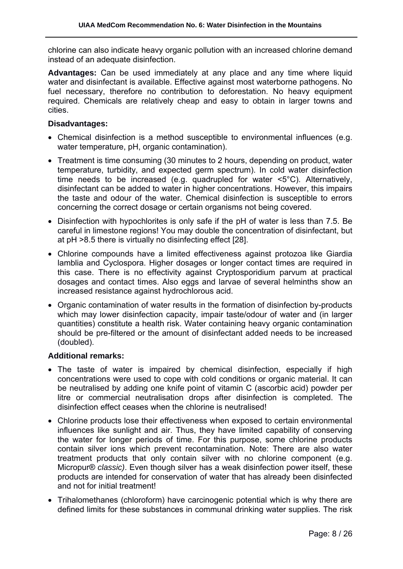chlorine can also indicate heavy organic pollution with an increased chlorine demand instead of an adequate disinfection.

**Advantages:** Can be used immediately at any place and any time where liquid water and disinfectant is available. Effective against most waterborne pathogens. No fuel necessary, therefore no contribution to deforestation. No heavy equipment required. Chemicals are relatively cheap and easy to obtain in larger towns and cities.

#### **Disadvantages:**

- Chemical disinfection is a method susceptible to environmental influences (e.g. water temperature, pH, organic contamination).
- Treatment is time consuming (30 minutes to 2 hours, depending on product, water temperature, turbidity, and expected germ spectrum). In cold water disinfection time needs to be increased (e.g. quadrupled for water <5°C). Alternatively, disinfectant can be added to water in higher concentrations. However, this impairs the taste and odour of the water. Chemical disinfection is susceptible to errors concerning the correct dosage or certain organisms not being covered.
- Disinfection with hypochlorites is only safe if the pH of water is less than 7.5. Be careful in limestone regions! You may double the concentration of disinfectant, but at pH >8.5 there is virtually no disinfecting effect [28].
- Chlorine compounds have a limited effectiveness against protozoa like Giardia lamblia and Cyclospora. Higher dosages or longer contact times are required in this case. There is no effectivity against Cryptosporidium parvum at practical dosages and contact times. Also eggs and larvae of several helminths show an increased resistance against hydrochlorous acid.
- Organic contamination of water results in the formation of disinfection by-products which may lower disinfection capacity, impair taste/odour of water and (in larger quantities) constitute a health risk. Water containing heavy organic contamination should be pre-filtered or the amount of disinfectant added needs to be increased (doubled).

#### **Additional remarks:**

- The taste of water is impaired by chemical disinfection, especially if high concentrations were used to cope with cold conditions or organic material. It can be neutralised by adding one knife point of vitamin C (ascorbic acid) powder per litre or commercial neutralisation drops after disinfection is completed. The disinfection effect ceases when the chlorine is neutralised!
- Chlorine products lose their effectiveness when exposed to certain environmental influences like sunlight and air. Thus, they have limited capability of conserving the water for longer periods of time. For this purpose, some chlorine products contain silver ions which prevent recontamination. Note: There are also water treatment products that only contain silver with no chlorine component (e.g. Micropur® *classic)*. Even though silver has a weak disinfection power itself, these products are intended for conservation of water that has already been disinfected and not for initial treatment!
- Trihalomethanes (chloroform) have carcinogenic potential which is why there are defined limits for these substances in communal drinking water supplies. The risk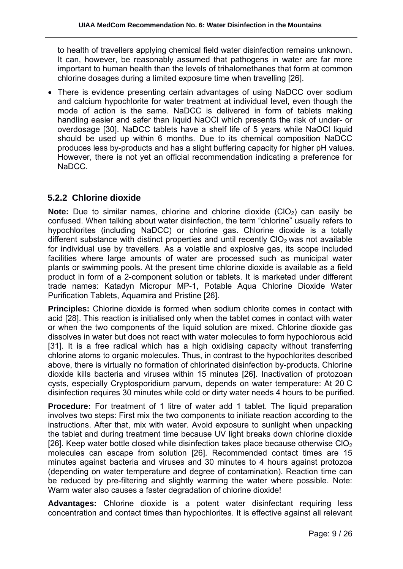to health of travellers applying chemical field water disinfection remains unknown. It can, however, be reasonably assumed that pathogens in water are far more important to human health than the levels of trihalomethanes that form at common chlorine dosages during a limited exposure time when travelling [26].

 There is evidence presenting certain advantages of using NaDCC over sodium and calcium hypochlorite for water treatment at individual level, even though the mode of action is the same. NaDCC is delivered in form of tablets making handling easier and safer than liquid NaOCl which presents the risk of under- or overdosage [30]. NaDCC tablets have a shelf life of 5 years while NaOCl liquid should be used up within 6 months. Due to its chemical composition NaDCC produces less by-products and has a slight buffering capacity for higher pH values. However, there is not yet an official recommendation indicating a preference for NaDCC.

# **5.2.2 Chlorine dioxide**

**Note:** Due to similar names, chlorine and chlorine dioxide (ClO<sub>2</sub>) can easily be confused. When talking about water disinfection, the term "chlorine" usually refers to hypochlorites (including NaDCC) or chlorine gas. Chlorine dioxide is a totally different substance with distinct properties and until recently  $ClO<sub>2</sub>$  was not available for individual use by travellers. As a volatile and explosive gas, its scope included facilities where large amounts of water are processed such as municipal water plants or swimming pools. At the present time chlorine dioxide is available as a field product in form of a 2-component solution or tablets. It is marketed under different trade names: Katadyn Micropur MP-1, Potable Aqua Chlorine Dioxide Water Purification Tablets, Aquamira and Pristine [26].

**Principles:** Chlorine dioxide is formed when sodium chlorite comes in contact with acid [28]. This reaction is initialised only when the tablet comes in contact with water or when the two components of the liquid solution are mixed. Chlorine dioxide gas dissolves in water but does not react with water molecules to form hypochlorous acid [31]. It is a free radical which has a high oxidising capacity without transferring chlorine atoms to organic molecules. Thus, in contrast to the hypochlorites described above, there is virtually no formation of chlorinated disinfection by-products. Chlorine dioxide kills bacteria and viruses within 15 minutes [26]. Inactivation of protozoan cysts, especially Cryptosporidium parvum, depends on water temperature: At 20 C disinfection requires 30 minutes while cold or dirty water needs 4 hours to be purified.

**Procedure:** For treatment of 1 litre of water add 1 tablet. The liquid preparation involves two steps: First mix the two components to initiate reaction according to the instructions. After that, mix with water. Avoid exposure to sunlight when unpacking the tablet and during treatment time because UV light breaks down chlorine dioxide [26]. Keep water bottle closed while disinfection takes place because otherwise ClO<sub>2</sub> molecules can escape from solution [26]. Recommended contact times are 15 minutes against bacteria and viruses and 30 minutes to 4 hours against protozoa (depending on water temperature and degree of contamination). Reaction time can be reduced by pre-filtering and slightly warming the water where possible. Note: Warm water also causes a faster degradation of chlorine dioxide!

**Advantages:** Chlorine dioxide is a potent water disinfectant requiring less concentration and contact times than hypochlorites. It is effective against all relevant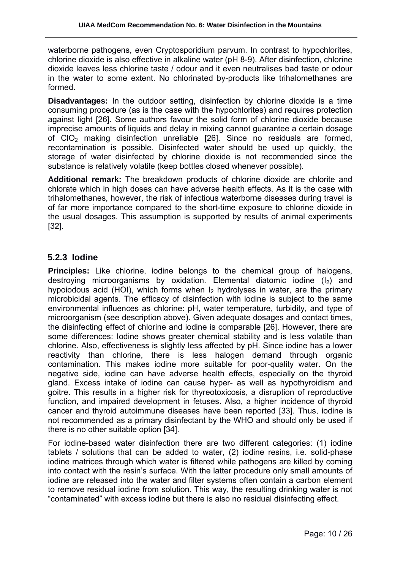waterborne pathogens, even Cryptosporidium parvum. In contrast to hypochlorites, chlorine dioxide is also effective in alkaline water (pH 8-9). After disinfection, chlorine dioxide leaves less chlorine taste / odour and it even neutralises bad taste or odour in the water to some extent. No chlorinated by-products like trihalomethanes are formed.

**Disadvantages:** In the outdoor setting, disinfection by chlorine dioxide is a time consuming procedure (as is the case with the hypochlorites) and requires protection against light [26]. Some authors favour the solid form of chlorine dioxide because imprecise amounts of liquids and delay in mixing cannot guarantee a certain dosage of  $ClO<sub>2</sub>$  making disinfection unreliable [26]. Since no residuals are formed, recontamination is possible. Disinfected water should be used up quickly, the storage of water disinfected by chlorine dioxide is not recommended since the substance is relatively volatile (keep bottles closed whenever possible).

**Additional remark:** The breakdown products of chlorine dioxide are chlorite and chlorate which in high doses can have adverse health effects. As it is the case with trihalomethanes, however, the risk of infectious waterborne diseases during travel is of far more importance compared to the short-time exposure to chlorine dioxide in the usual dosages. This assumption is supported by results of animal experiments [32].

#### **5.2.3 Iodine**

**Principles:** Like chlorine, iodine belongs to the chemical group of halogens, destroying microorganisms by oxidation. Elemental diatomic iodine  $(I_2)$  and hypoiodous acid (HOI), which forms when  $I_2$  hydrolyses in water, are the primary microbicidal agents. The efficacy of disinfection with iodine is subject to the same environmental influences as chlorine: pH, water temperature, turbidity, and type of microorganism (see description above). Given adequate dosages and contact times, the disinfecting effect of chlorine and iodine is comparable [26]. However, there are some differences: Iodine shows greater chemical stability and is less volatile than chlorine. Also, effectiveness is slightly less affected by pH. Since iodine has a lower reactivity than chlorine, there is less halogen demand through organic contamination. This makes iodine more suitable for poor-quality water. On the negative side, iodine can have adverse health effects, especially on the thyroid gland. Excess intake of iodine can cause hyper- as well as hypothyroidism and goitre. This results in a higher risk for thyreotoxicosis, a disruption of reproductive function, and impaired development in fetuses. Also, a higher incidence of thyroid cancer and thyroid autoimmune diseases have been reported [33]. Thus, iodine is not recommended as a primary disinfectant by the WHO and should only be used if there is no other suitable option [34].

For iodine-based water disinfection there are two different categories: (1) iodine tablets / solutions that can be added to water, (2) iodine resins, i.e. solid-phase iodine matrices through which water is filtered while pathogens are killed by coming into contact with the resin's surface. With the latter procedure only small amounts of iodine are released into the water and filter systems often contain a carbon element to remove residual iodine from solution. This way, the resulting drinking water is not "contaminated" with excess iodine but there is also no residual disinfecting effect.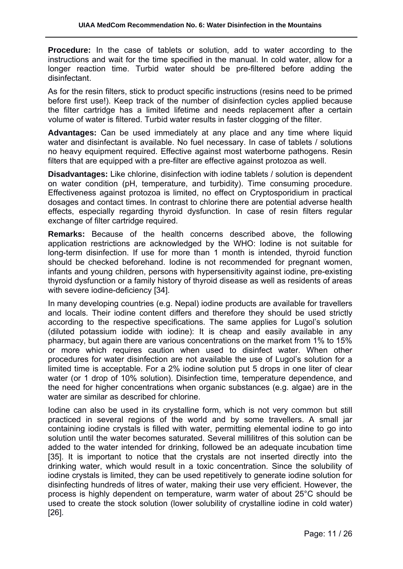**Procedure:** In the case of tablets or solution, add to water according to the instructions and wait for the time specified in the manual. In cold water, allow for a longer reaction time. Turbid water should be pre-filtered before adding the disinfectant.

As for the resin filters, stick to product specific instructions (resins need to be primed before first use!). Keep track of the number of disinfection cycles applied because the filter cartridge has a limited lifetime and needs replacement after a certain volume of water is filtered. Turbid water results in faster clogging of the filter.

**Advantages:** Can be used immediately at any place and any time where liquid water and disinfectant is available. No fuel necessary. In case of tablets / solutions no heavy equipment required. Effective against most waterborne pathogens. Resin filters that are equipped with a pre-filter are effective against protozoa as well.

**Disadvantages:** Like chlorine, disinfection with iodine tablets / solution is dependent on water condition (pH, temperature, and turbidity). Time consuming procedure. Effectiveness against protozoa is limited, no effect on Cryptosporidium in practical dosages and contact times. In contrast to chlorine there are potential adverse health effects, especially regarding thyroid dysfunction. In case of resin filters regular exchange of filter cartridge required.

**Remarks:** Because of the health concerns described above, the following application restrictions are acknowledged by the WHO: Iodine is not suitable for long-term disinfection. If use for more than 1 month is intended, thyroid function should be checked beforehand. Iodine is not recommended for pregnant women, infants and young children, persons with hypersensitivity against iodine, pre-existing thyroid dysfunction or a family history of thyroid disease as well as residents of areas with severe iodine-deficiency [34].

In many developing countries (e.g. Nepal) iodine products are available for travellers and locals. Their iodine content differs and therefore they should be used strictly according to the respective specifications. The same applies for Lugol's solution (diluted potassium iodide with iodine): It is cheap and easily available in any pharmacy, but again there are various concentrations on the market from 1% to 15% or more which requires caution when used to disinfect water. When other procedures for water disinfection are not available the use of Lugol's solution for a limited time is acceptable. For a 2% iodine solution put 5 drops in one liter of clear water (or 1 drop of 10% solution). Disinfection time, temperature dependence, and the need for higher concentrations when organic substances (e.g. algae) are in the water are similar as described for chlorine.

Iodine can also be used in its crystalline form, which is not very common but still practiced in several regions of the world and by some travellers. A small jar containing iodine crystals is filled with water, permitting elemental iodine to go into solution until the water becomes saturated. Several millilitres of this solution can be added to the water intended for drinking, followed be an adequate incubation time [35]. It is important to notice that the crystals are not inserted directly into the drinking water, which would result in a toxic concentration. Since the solubility of iodine crystals is limited, they can be used repetitively to generate iodine solution for disinfecting hundreds of litres of water, making their use very efficient. However, the process is highly dependent on temperature, warm water of about 25°C should be used to create the stock solution (lower solubility of crystalline iodine in cold water) [26].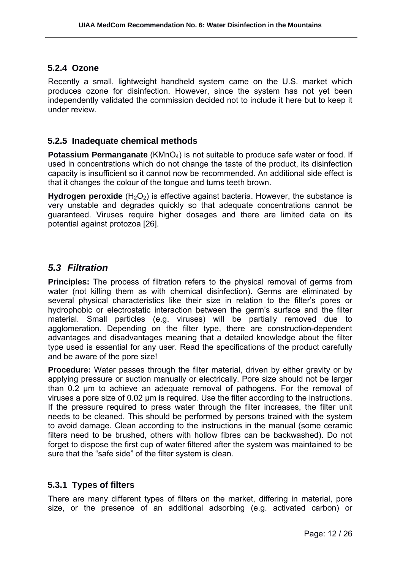#### **5.2.4 Ozone**

Recently a small, lightweight handheld system came on the U.S. market which produces ozone for disinfection. However, since the system has not yet been independently validated the commission decided not to include it here but to keep it under review.

#### **5.2.5 Inadequate chemical methods**

**Potassium Permanganate** (KMnO<sub>4</sub>) is not suitable to produce safe water or food. If used in concentrations which do not change the taste of the product, its disinfection capacity is insufficient so it cannot now be recommended. An additional side effect is that it changes the colour of the tongue and turns teeth brown.

**Hydrogen peroxide** (H<sub>2</sub>O<sub>2</sub>) is effective against bacteria. However, the substance is very unstable and degrades quickly so that adequate concentrations cannot be guaranteed. Viruses require higher dosages and there are limited data on its potential against protozoa [26].

## *5.3 Filtration*

**Principles:** The process of filtration refers to the physical removal of germs from water (not killing them as with chemical disinfection). Germs are eliminated by several physical characteristics like their size in relation to the filter's pores or hydrophobic or electrostatic interaction between the germ's surface and the filter material. Small particles (e.g. viruses) will be partially removed due to agglomeration. Depending on the filter type, there are construction-dependent advantages and disadvantages meaning that a detailed knowledge about the filter type used is essential for any user. Read the specifications of the product carefully and be aware of the pore size!

**Procedure:** Water passes through the filter material, driven by either gravity or by applying pressure or suction manually or electrically. Pore size should not be larger than 0.2 µm to achieve an adequate removal of pathogens. For the removal of viruses a pore size of 0.02 µm is required. Use the filter according to the instructions. If the pressure required to press water through the filter increases, the filter unit needs to be cleaned. This should be performed by persons trained with the system to avoid damage. Clean according to the instructions in the manual (some ceramic filters need to be brushed, others with hollow fibres can be backwashed). Do not forget to dispose the first cup of water filtered after the system was maintained to be sure that the "safe side" of the filter system is clean.

#### **5.3.1 Types of filters**

There are many different types of filters on the market, differing in material, pore size, or the presence of an additional adsorbing (e.g. activated carbon) or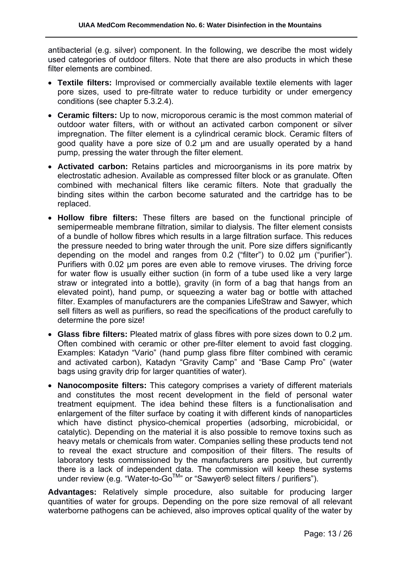antibacterial (e.g. silver) component. In the following, we describe the most widely used categories of outdoor filters. Note that there are also products in which these filter elements are combined.

- **Textile filters:** Improvised or commercially available textile elements with lager pore sizes, used to pre-filtrate water to reduce turbidity or under emergency conditions (see chapter 5.3.2.4).
- **Ceramic filters:** Up to now, microporous ceramic is the most common material of outdoor water filters, with or without an activated carbon component or silver impregnation. The filter element is a cylindrical ceramic block. Ceramic filters of good quality have a pore size of 0.2 µm and are usually operated by a hand pump, pressing the water through the filter element.
- **Activated carbon:** Retains particles and microorganisms in its pore matrix by electrostatic adhesion. Available as compressed filter block or as granulate. Often combined with mechanical filters like ceramic filters. Note that gradually the binding sites within the carbon become saturated and the cartridge has to be replaced.
- **Hollow fibre filters:** These filters are based on the functional principle of semipermeable membrane filtration, similar to dialysis. The filter element consists of a bundle of hollow fibres which results in a large filtration surface. This reduces the pressure needed to bring water through the unit. Pore size differs significantly depending on the model and ranges from 0.2 ("filter") to 0.02 µm ("purifier"). Purifiers with 0.02 µm pores are even able to remove viruses. The driving force for water flow is usually either suction (in form of a tube used like a very large straw or integrated into a bottle), gravity (in form of a bag that hangs from an elevated point), hand pump, or squeezing a water bag or bottle with attached filter. Examples of manufacturers are the companies LifeStraw and Sawyer, which sell filters as well as purifiers, so read the specifications of the product carefully to determine the pore size!
- **Glass fibre filters:** Pleated matrix of glass fibres with pore sizes down to 0.2 µm. Often combined with ceramic or other pre-filter element to avoid fast clogging. Examples: Katadyn "Vario" (hand pump glass fibre filter combined with ceramic and activated carbon), Katadyn "Gravity Camp" and "Base Camp Pro" (water bags using gravity drip for larger quantities of water).
- **Nanocomposite filters:** This category comprises a variety of different materials and constitutes the most recent development in the field of personal water treatment equipment. The idea behind these filters is a functionalisation and enlargement of the filter surface by coating it with different kinds of nanoparticles which have distinct physico-chemical properties (adsorbing, microbicidal, or catalytic). Depending on the material it is also possible to remove toxins such as heavy metals or chemicals from water. Companies selling these products tend not to reveal the exact structure and composition of their filters. The results of laboratory tests commissioned by the manufacturers are positive, but currently there is a lack of independent data. The commission will keep these systems under review (e.g. "Water-to-Go<sup>TM</sup>" or "Sawyer® select filters / purifiers").

**Advantages:** Relatively simple procedure, also suitable for producing larger quantities of water for groups. Depending on the pore size removal of all relevant waterborne pathogens can be achieved, also improves optical quality of the water by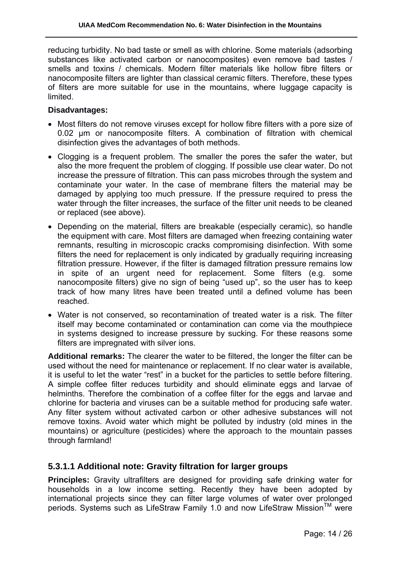reducing turbidity. No bad taste or smell as with chlorine. Some materials (adsorbing substances like activated carbon or nanocomposites) even remove bad tastes / smells and toxins / chemicals. Modern filter materials like hollow fibre filters or nanocomposite filters are lighter than classical ceramic filters. Therefore, these types of filters are more suitable for use in the mountains, where luggage capacity is limited.

#### **Disadvantages:**

- Most filters do not remove viruses except for hollow fibre filters with a pore size of 0.02 µm or nanocomposite filters. A combination of filtration with chemical disinfection gives the advantages of both methods.
- Clogging is a frequent problem. The smaller the pores the safer the water, but also the more frequent the problem of clogging. If possible use clear water. Do not increase the pressure of filtration. This can pass microbes through the system and contaminate your water. In the case of membrane filters the material may be damaged by applying too much pressure. If the pressure required to press the water through the filter increases, the surface of the filter unit needs to be cleaned or replaced (see above).
- Depending on the material, filters are breakable (especially ceramic), so handle the equipment with care. Most filters are damaged when freezing containing water remnants, resulting in microscopic cracks compromising disinfection. With some filters the need for replacement is only indicated by gradually requiring increasing filtration pressure. However, if the filter is damaged filtration pressure remains low in spite of an urgent need for replacement. Some filters (e.g. some nanocomposite filters) give no sign of being "used up", so the user has to keep track of how many litres have been treated until a defined volume has been reached.
- Water is not conserved, so recontamination of treated water is a risk. The filter itself may become contaminated or contamination can come via the mouthpiece in systems designed to increase pressure by sucking. For these reasons some filters are impregnated with silver ions.

**Additional remarks:** The clearer the water to be filtered, the longer the filter can be used without the need for maintenance or replacement. If no clear water is available, it is useful to let the water "rest" in a bucket for the particles to settle before filtering. A simple coffee filter reduces turbidity and should eliminate eggs and larvae of helminths. Therefore the combination of a coffee filter for the eggs and larvae and chlorine for bacteria and viruses can be a suitable method for producing safe water. Any filter system without activated carbon or other adhesive substances will not remove toxins. Avoid water which might be polluted by industry (old mines in the mountains) or agriculture (pesticides) where the approach to the mountain passes through farmland!

# **5.3.1.1 Additional note: Gravity filtration for larger groups**

**Principles:** Gravity ultrafilters are designed for providing safe drinking water for households in a low income setting. Recently they have been adopted by international projects since they can filter large volumes of water over prolonged periods. Systems such as LifeStraw Family 1.0 and now LifeStraw Mission™ were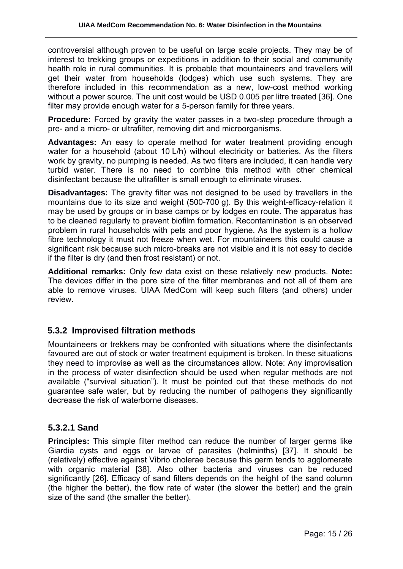controversial although proven to be useful on large scale projects. They may be of interest to trekking groups or expeditions in addition to their social and community health role in rural communities. It is probable that mountaineers and travellers will get their water from households (lodges) which use such systems. They are therefore included in this recommendation as a new, low-cost method working without a power source. The unit cost would be USD 0.005 per litre treated [36]. One filter may provide enough water for a 5-person family for three years.

**Procedure:** Forced by gravity the water passes in a two-step procedure through a pre- and a micro- or ultrafilter, removing dirt and microorganisms.

**Advantages:** An easy to operate method for water treatment providing enough water for a household (about 10 L/h) without electricity or batteries. As the filters work by gravity, no pumping is needed. As two filters are included, it can handle very turbid water. There is no need to combine this method with other chemical disinfectant because the ultrafilter is small enough to eliminate viruses.

**Disadvantages:** The gravity filter was not designed to be used by travellers in the mountains due to its size and weight (500-700 g). By this weight-efficacy-relation it may be used by groups or in base camps or by lodges en route. The apparatus has to be cleaned regularly to prevent biofilm formation. Recontamination is an observed problem in rural households with pets and poor hygiene. As the system is a hollow fibre technology it must not freeze when wet. For mountaineers this could cause a significant risk because such micro-breaks are not visible and it is not easy to decide if the filter is dry (and then frost resistant) or not.

**Additional remarks:** Only few data exist on these relatively new products. **Note:** The devices differ in the pore size of the filter membranes and not all of them are able to remove viruses. UIAA MedCom will keep such filters (and others) under review.

#### **5.3.2 Improvised filtration methods**

Mountaineers or trekkers may be confronted with situations where the disinfectants favoured are out of stock or water treatment equipment is broken. In these situations they need to improvise as well as the circumstances allow. Note: Any improvisation in the process of water disinfection should be used when regular methods are not available ("survival situation"). It must be pointed out that these methods do not guarantee safe water, but by reducing the number of pathogens they significantly decrease the risk of waterborne diseases.

#### **5.3.2.1 Sand**

**Principles:** This simple filter method can reduce the number of larger germs like Giardia cysts and eggs or larvae of parasites (helminths) [37]. It should be (relatively) effective against Vibrio cholerae because this germ tends to agglomerate with organic material [38]. Also other bacteria and viruses can be reduced significantly [26]. Efficacy of sand filters depends on the height of the sand column (the higher the better), the flow rate of water (the slower the better) and the grain size of the sand (the smaller the better).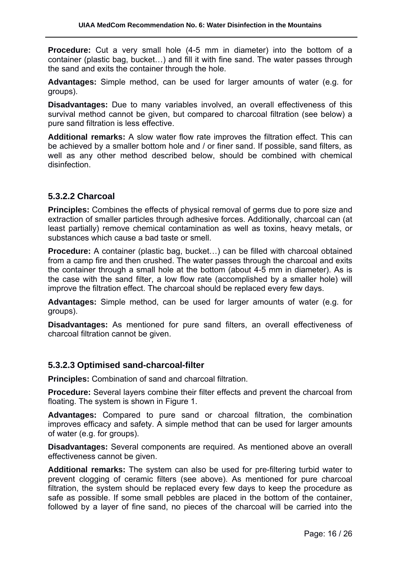**Procedure:** Cut a very small hole (4-5 mm in diameter) into the bottom of a container (plastic bag, bucket…) and fill it with fine sand. The water passes through the sand and exits the container through the hole.

**Advantages:** Simple method, can be used for larger amounts of water (e.g. for groups).

**Disadvantages:** Due to many variables involved, an overall effectiveness of this survival method cannot be given, but compared to charcoal filtration (see below) a pure sand filtration is less effective.

**Additional remarks:** A slow water flow rate improves the filtration effect. This can be achieved by a smaller bottom hole and / or finer sand. If possible, sand filters, as well as any other method described below, should be combined with chemical disinfection.

#### **5.3.2.2 Charcoal**

**Principles:** Combines the effects of physical removal of germs due to pore size and extraction of smaller particles through adhesive forces. Additionally, charcoal can (at least partially) remove chemical contamination as well as toxins, heavy metals, or substances which cause a bad taste or smell.

**Procedure:** A container (plastic bag, bucket...) can be filled with charcoal obtained from a camp fire and then crushed. The water passes through the charcoal and exits the container through a small hole at the bottom (about 4-5 mm in diameter). As is the case with the sand filter, a low flow rate (accomplished by a smaller hole) will improve the filtration effect. The charcoal should be replaced every few days.

**Advantages:** Simple method, can be used for larger amounts of water (e.g. for groups).

**Disadvantages:** As mentioned for pure sand filters, an overall effectiveness of charcoal filtration cannot be given.

#### **5.3.2.3 Optimised sand-charcoal-filter**

**Principles:** Combination of sand and charcoal filtration.

**Procedure:** Several layers combine their filter effects and prevent the charcoal from floating. The system is shown in Figure 1.

**Advantages:** Compared to pure sand or charcoal filtration, the combination improves efficacy and safety. A simple method that can be used for larger amounts of water (e.g. for groups).

**Disadvantages:** Several components are required. As mentioned above an overall effectiveness cannot be given.

**Additional remarks:** The system can also be used for pre-filtering turbid water to prevent clogging of ceramic filters (see above). As mentioned for pure charcoal filtration, the system should be replaced every few days to keep the procedure as safe as possible. If some small pebbles are placed in the bottom of the container, followed by a layer of fine sand, no pieces of the charcoal will be carried into the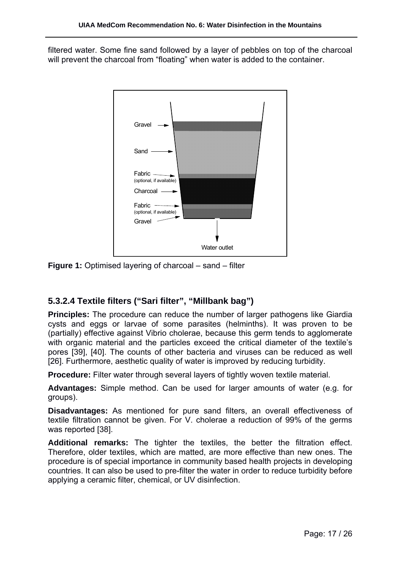filtered water. Some fine sand followed by a layer of pebbles on top of the charcoal will prevent the charcoal from "floating" when water is added to the container.



**Figure 1:** Optimised layering of charcoal – sand – filter

# **5.3.2.4 Textile filters ("Sari filter", "Millbank bag")**

**Principles:** The procedure can reduce the number of larger pathogens like Giardia cysts and eggs or larvae of some parasites (helminths). It was proven to be (partially) effective against Vibrio cholerae, because this germ tends to agglomerate with organic material and the particles exceed the critical diameter of the textile's pores [39], [40]. The counts of other bacteria and viruses can be reduced as well [26]. Furthermore, aesthetic quality of water is improved by reducing turbidity.

**Procedure:** Filter water through several layers of tightly woven textile material.

**Advantages:** Simple method. Can be used for larger amounts of water (e.g. for groups).

**Disadvantages:** As mentioned for pure sand filters, an overall effectiveness of textile filtration cannot be given. For V. cholerae a reduction of 99% of the germs was reported [38].

**Additional remarks:** The tighter the textiles, the better the filtration effect. Therefore, older textiles, which are matted, are more effective than new ones. The procedure is of special importance in community based health projects in developing countries. It can also be used to pre-filter the water in order to reduce turbidity before applying a ceramic filter, chemical, or UV disinfection.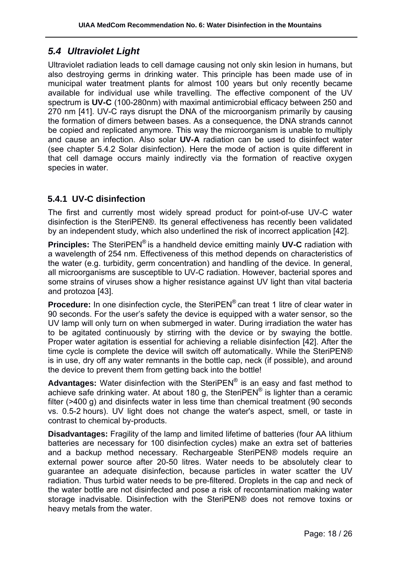# *5.4 Ultraviolet Light*

Ultraviolet radiation leads to cell damage causing not only skin lesion in humans, but also destroying germs in drinking water. This principle has been made use of in municipal water treatment plants for almost 100 years but only recently became available for individual use while travelling. The effective component of the UV spectrum is **UV-C** (100-280nm) with maximal antimicrobial efficacy between 250 and 270 nm [41]. UV-C rays disrupt the DNA of the microorganism primarily by causing the formation of dimers between bases. As a consequence, the DNA strands cannot be copied and replicated anymore. This way the microorganism is unable to multiply and cause an infection. Also solar **UV-A** radiation can be used to disinfect water (see chapter 5.4.2 Solar disinfection). Here the mode of action is quite different in that cell damage occurs mainly indirectly via the formation of reactive oxygen species in water.

# **5.4.1 UV-C disinfection**

The first and currently most widely spread product for point-of-use UV-C water disinfection is the SteriPEN®. Its general effectiveness has recently been validated by an independent study, which also underlined the risk of incorrect application [42].

**Principles:** The SteriPEN® is a handheld device emitting mainly **UV-C** radiation with a wavelength of 254 nm. Effectiveness of this method depends on characteristics of the water (e.g. turbidity, germ concentration) and handling of the device. In general, all microorganisms are susceptible to UV-C radiation. However, bacterial spores and some strains of viruses show a higher resistance against UV light than vital bacteria and protozoa [43].

**Procedure:** In one disinfection cycle, the SteriPEN<sup>®</sup> can treat 1 litre of clear water in 90 seconds. For the user's safety the device is equipped with a water sensor, so the UV lamp will only turn on when submerged in water. During irradiation the water has to be agitated continuously by stirring with the device or by swaying the bottle. Proper water agitation is essential for achieving a reliable disinfection [42]. After the time cycle is complete the device will switch off automatically. While the SteriPEN® is in use, dry off any water remnants in the bottle cap, neck (if possible), and around the device to prevent them from getting back into the bottle!

**Advantages:** Water disinfection with the SteriPEN® is an easy and fast method to achieve safe drinking water. At about 180 g, the SteriPEN<sup>®</sup> is lighter than a ceramic filter (>400 g) and disinfects water in less time than chemical treatment (90 seconds vs. 0.5-2 hours). UV light does not change the water's aspect, smell, or taste in contrast to chemical by-products.

**Disadvantages:** Fragility of the lamp and limited lifetime of batteries (four AA lithium batteries are necessary for 100 disinfection cycles) make an extra set of batteries and a backup method necessary. Rechargeable SteriPEN® models require an external power source after 20-50 litres. Water needs to be absolutely clear to guarantee an adequate disinfection, because particles in water scatter the UV radiation. Thus turbid water needs to be pre-filtered. Droplets in the cap and neck of the water bottle are not disinfected and pose a risk of recontamination making water storage inadvisable. Disinfection with the SteriPEN® does not remove toxins or heavy metals from the water.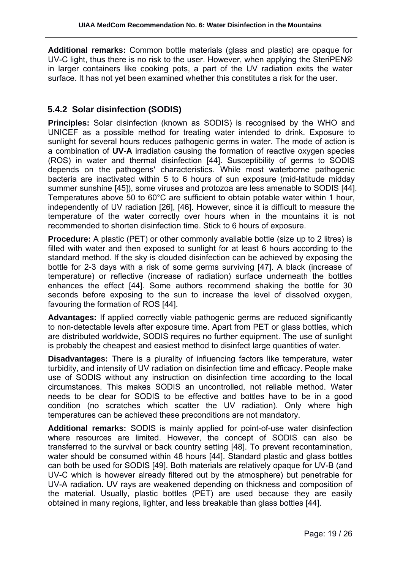**Additional remarks:** Common bottle materials (glass and plastic) are opaque for UV-C light, thus there is no risk to the user. However, when applying the SteriPEN® in larger containers like cooking pots, a part of the UV radiation exits the water surface. It has not yet been examined whether this constitutes a risk for the user.

## **5.4.2 Solar disinfection (SODIS)**

**Principles:** Solar disinfection (known as SODIS) is recognised by the WHO and UNICEF as a possible method for treating water intended to drink. Exposure to sunlight for several hours reduces pathogenic germs in water. The mode of action is a combination of **UV-A** irradiation causing the formation of reactive oxygen species (ROS) in water and thermal disinfection [44]. Susceptibility of germs to SODIS depends on the pathogens' characteristics. While most waterborne pathogenic bacteria are inactivated within 5 to 6 hours of sun exposure (mid-latitude midday summer sunshine [45]), some viruses and protozoa are less amenable to SODIS [44]. Temperatures above 50 to 60°C are sufficient to obtain potable water within 1 hour, independently of UV radiation [26], [46]. However, since it is difficult to measure the temperature of the water correctly over hours when in the mountains it is not recommended to shorten disinfection time. Stick to 6 hours of exposure.

**Procedure:** A plastic (PET) or other commonly available bottle (size up to 2 litres) is filled with water and then exposed to sunlight for at least 6 hours according to the standard method. If the sky is clouded disinfection can be achieved by exposing the bottle for 2-3 days with a risk of some germs surviving [47]. A black (increase of temperature) or reflective (increase of radiation) surface underneath the bottles enhances the effect [44]. Some authors recommend shaking the bottle for 30 seconds before exposing to the sun to increase the level of dissolved oxygen, favouring the formation of ROS [44].

**Advantages:** If applied correctly viable pathogenic germs are reduced significantly to non-detectable levels after exposure time. Apart from PET or glass bottles, which are distributed worldwide, SODIS requires no further equipment. The use of sunlight is probably the cheapest and easiest method to disinfect large quantities of water.

**Disadvantages:** There is a plurality of influencing factors like temperature, water turbidity, and intensity of UV radiation on disinfection time and efficacy. People make use of SODIS without any instruction on disinfection time according to the local circumstances. This makes SODIS an uncontrolled, not reliable method. Water needs to be clear for SODIS to be effective and bottles have to be in a good condition (no scratches which scatter the UV radiation). Only where high temperatures can be achieved these preconditions are not mandatory.

**Additional remarks:** SODIS is mainly applied for point-of-use water disinfection where resources are limited. However, the concept of SODIS can also be transferred to the survival or back country setting [48]. To prevent recontamination, water should be consumed within 48 hours [44]. Standard plastic and glass bottles can both be used for SODIS [49]. Both materials are relatively opaque for UV-B (and UV-C which is however already filtered out by the atmosphere) but penetrable for UV-A radiation. UV rays are weakened depending on thickness and composition of the material. Usually, plastic bottles (PET) are used because they are easily obtained in many regions, lighter, and less breakable than glass bottles [44].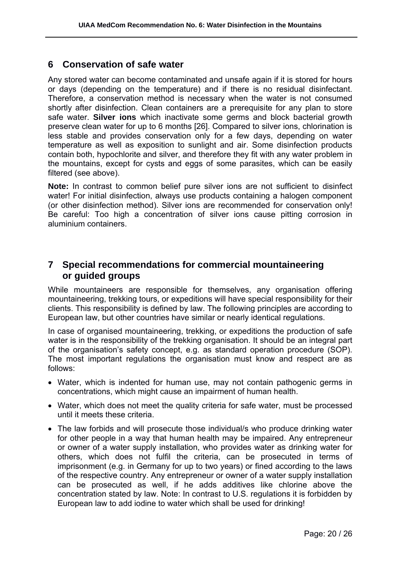# **6 Conservation of safe water**

Any stored water can become contaminated and unsafe again if it is stored for hours or days (depending on the temperature) and if there is no residual disinfectant. Therefore, a conservation method is necessary when the water is not consumed shortly after disinfection. Clean containers are a prerequisite for any plan to store safe water. **Silver ions** which inactivate some germs and block bacterial growth preserve clean water for up to 6 months [26]. Compared to silver ions, chlorination is less stable and provides conservation only for a few days, depending on water temperature as well as exposition to sunlight and air. Some disinfection products contain both, hypochlorite and silver, and therefore they fit with any water problem in the mountains, except for cysts and eggs of some parasites, which can be easily filtered (see above).

**Note:** In contrast to common belief pure silver ions are not sufficient to disinfect water! For initial disinfection, always use products containing a halogen component (or other disinfection method). Silver ions are recommended for conservation only! Be careful: Too high a concentration of silver ions cause pitting corrosion in aluminium containers.

# **7 Special recommendations for commercial mountaineering or guided groups**

While mountaineers are responsible for themselves, any organisation offering mountaineering, trekking tours, or expeditions will have special responsibility for their clients. This responsibility is defined by law. The following principles are according to European law, but other countries have similar or nearly identical regulations.

In case of organised mountaineering, trekking, or expeditions the production of safe water is in the responsibility of the trekking organisation. It should be an integral part of the organisation's safety concept, e.g. as standard operation procedure (SOP). The most important regulations the organisation must know and respect are as follows:

- Water, which is indented for human use, may not contain pathogenic germs in concentrations, which might cause an impairment of human health.
- Water, which does not meet the quality criteria for safe water, must be processed until it meets these criteria.
- The law forbids and will prosecute those individual/s who produce drinking water for other people in a way that human health may be impaired. Any entrepreneur or owner of a water supply installation, who provides water as drinking water for others, which does not fulfil the criteria, can be prosecuted in terms of imprisonment (e.g. in Germany for up to two years) or fined according to the laws of the respective country. Any entrepreneur or owner of a water supply installation can be prosecuted as well, if he adds additives like chlorine above the concentration stated by law. Note: In contrast to U.S. regulations it is forbidden by European law to add iodine to water which shall be used for drinking!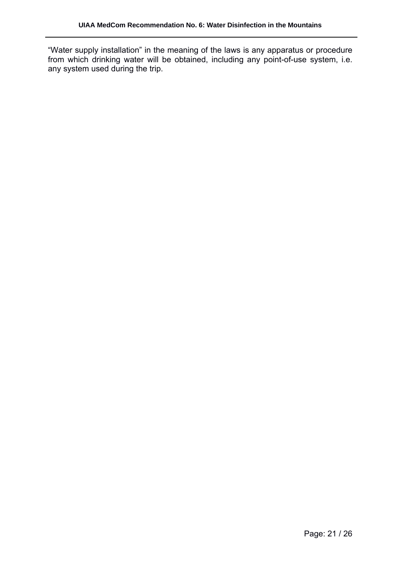"Water supply installation" in the meaning of the laws is any apparatus or procedure from which drinking water will be obtained, including any point-of-use system, i.e. any system used during the trip.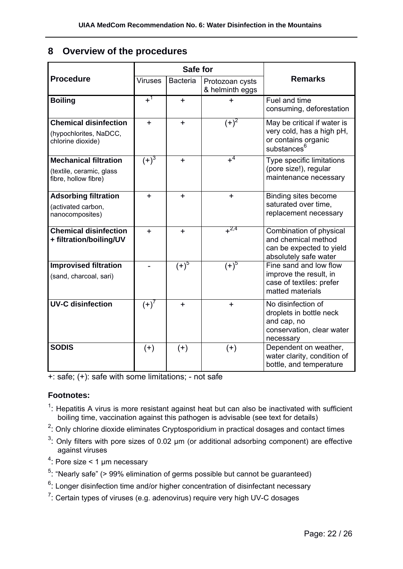# **8 Overview of the procedures**

|                                                                                  | Safe for       |                 |                                    |                                                                                                            |
|----------------------------------------------------------------------------------|----------------|-----------------|------------------------------------|------------------------------------------------------------------------------------------------------------|
| <b>Procedure</b>                                                                 | <b>Viruses</b> | <b>Bacteria</b> | Protozoan cysts<br>& helminth eggs | <b>Remarks</b>                                                                                             |
| <b>Boiling</b>                                                                   | $+1$           | $\ddot{}$       | $\pm$                              | Fuel and time<br>consuming, deforestation                                                                  |
| <b>Chemical disinfection</b><br>(hypochlorites, NaDCC,<br>chlorine dioxide)      | $+$            | $+$             | $(+)^2$                            | May be critical if water is<br>very cold, has a high pH,<br>or contains organic<br>substances <sup>6</sup> |
| <b>Mechanical filtration</b><br>(textile, ceramic, glass<br>fibre, hollow fibre) | $(+)^3$        | $+$             | $+^{4}$                            | Type specific limitations<br>(pore size!), regular<br>maintenance necessary                                |
| <b>Adsorbing filtration</b><br>(activated carbon,<br>nanocomposites)             | $\ddot{}$      | $+$             | $\ddot{}$                          | Binding sites become<br>saturated over time.<br>replacement necessary                                      |
| <b>Chemical disinfection</b><br>+ filtration/boiling/UV                          | $\ddot{}$      | $+$             | $+^{2,4}$                          | Combination of physical<br>and chemical method<br>can be expected to yield<br>absolutely safe water        |
| <b>Improvised filtration</b><br>(sand, charcoal, sari)                           |                | $(+)^5$         | $(+)^{5}$                          | Fine sand and low flow<br>improve the result, in<br>case of textiles: prefer<br>matted materials           |
| <b>UV-C disinfection</b>                                                         | $(+)'$         | $+$             | $\ddot{}$                          | No disinfection of<br>droplets in bottle neck<br>and cap, no<br>conservation, clear water<br>necessary     |
| <b>SODIS</b>                                                                     | $^{(+)}$       | $^{(+)}$        | $(+)$                              | Dependent on weather,<br>water clarity, condition of<br>bottle, and temperature                            |

+: safe; (+): safe with some limitations; - not safe

#### **Footnotes:**

- $1$ : Hepatitis A virus is more resistant against heat but can also be inactivated with sufficient boiling time, vaccination against this pathogen is advisable (see text for details)
- $2$ : Only chlorine dioxide eliminates Cryptosporidium in practical dosages and contact times
- $3$ : Only filters with pore sizes of 0.02  $\mu$ m (or additional adsorbing component) are effective against viruses
- $4$ : Pore size < 1 µm necessary
- <sup>5</sup>: "Nearly safe" (> 99% elimination of germs possible but cannot be guaranteed)
- $6$ : Longer disinfection time and/or higher concentration of disinfectant necessary
- $7$ : Certain types of viruses (e.g. adenovirus) require very high UV-C dosages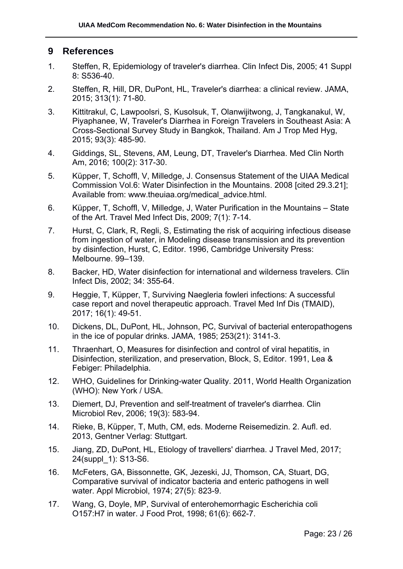# **9 References**

- 1. Steffen, R, Epidemiology of traveler's diarrhea. Clin Infect Dis, 2005; 41 Suppl 8: S536-40.
- 2. Steffen, R, Hill, DR, DuPont, HL, Traveler's diarrhea: a clinical review. JAMA, 2015; 313(1): 71-80.
- 3. Kittitrakul, C, Lawpoolsri, S, Kusolsuk, T, Olanwijitwong, J, Tangkanakul, W, Piyaphanee, W, Traveler's Diarrhea in Foreign Travelers in Southeast Asia: A Cross-Sectional Survey Study in Bangkok, Thailand. Am J Trop Med Hyg, 2015; 93(3): 485-90.
- 4. Giddings, SL, Stevens, AM, Leung, DT, Traveler's Diarrhea. Med Clin North Am, 2016; 100(2): 317-30.
- 5. Küpper, T, Schoffl, V, Milledge, J. Consensus Statement of the UIAA Medical Commission Vol.6: Water Disinfection in the Mountains. 2008 [cited 29.3.21]; Available from: www.theuiaa.org/medical\_advice.html.
- 6. Küpper, T, Schoffl, V, Milledge, J, Water Purification in the Mountains State of the Art. Travel Med Infect Dis, 2009; 7(1): 7-14.
- 7. Hurst, C, Clark, R, Regli, S, Estimating the risk of acquiring infectious disease from ingestion of water, in Modeling disease transmission and its prevention by disinfection, Hurst, C, Editor. 1996, Cambridge University Press: Melbourne. 99–139.
- 8. Backer, HD, Water disinfection for international and wilderness travelers. Clin Infect Dis, 2002; 34: 355-64.
- 9. Heggie, T, Küpper, T, Surviving Naegleria fowleri infections: A successful case report and novel therapeutic approach. Travel Med Inf Dis (TMAID), 2017; 16(1): 49-51.
- 10. Dickens, DL, DuPont, HL, Johnson, PC, Survival of bacterial enteropathogens in the ice of popular drinks. JAMA, 1985; 253(21): 3141-3.
- 11. Thraenhart, O, Measures for disinfection and control of viral hepatitis, in Disinfection, sterilization, and preservation, Block, S, Editor. 1991, Lea & Febiger: Philadelphia.
- 12. WHO, Guidelines for Drinking-water Quality. 2011, World Health Organization (WHO): New York / USA.
- 13. Diemert, DJ, Prevention and self-treatment of traveler's diarrhea. Clin Microbiol Rev, 2006; 19(3): 583-94.
- 14. Rieke, B, Küpper, T, Muth, CM, eds. Moderne Reisemedizin. 2. Aufl. ed. 2013, Gentner Verlag: Stuttgart.
- 15. Jiang, ZD, DuPont, HL, Etiology of travellers' diarrhea. J Travel Med, 2017; 24(suppl\_1): S13-S6.
- 16. McFeters, GA, Bissonnette, GK, Jezeski, JJ, Thomson, CA, Stuart, DG, Comparative survival of indicator bacteria and enteric pathogens in well water. Appl Microbiol, 1974; 27(5): 823-9.
- 17. Wang, G, Doyle, MP, Survival of enterohemorrhagic Escherichia coli O157:H7 in water. J Food Prot, 1998; 61(6): 662-7.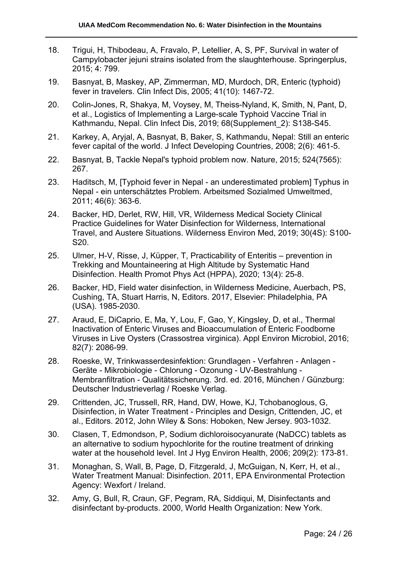- 18. Trigui, H, Thibodeau, A, Fravalo, P, Letellier, A, S, PF, Survival in water of Campylobacter jejuni strains isolated from the slaughterhouse. Springerplus, 2015; 4: 799.
- 19. Basnyat, B, Maskey, AP, Zimmerman, MD, Murdoch, DR, Enteric (typhoid) fever in travelers. Clin Infect Dis, 2005; 41(10): 1467-72.
- 20. Colin-Jones, R, Shakya, M, Voysey, M, Theiss-Nyland, K, Smith, N, Pant, D, et al., Logistics of Implementing a Large-scale Typhoid Vaccine Trial in Kathmandu, Nepal. Clin Infect Dis, 2019; 68(Supplement\_2): S138-S45.
- 21. Karkey, A, Aryjal, A, Basnyat, B, Baker, S, Kathmandu, Nepal: Still an enteric fever capital of the world. J Infect Developing Countries, 2008; 2(6): 461-5.
- 22. Basnyat, B, Tackle Nepal's typhoid problem now. Nature, 2015; 524(7565): 267.
- 23. Haditsch, M, [Typhoid fever in Nepal an underestimated problem] Typhus in Nepal - ein unterschätztes Problem. Arbeitsmed Sozialmed Umweltmed, 2011; 46(6): 363-6.
- 24. Backer, HD, Derlet, RW, Hill, VR, Wilderness Medical Society Clinical Practice Guidelines for Water Disinfection for Wilderness, International Travel, and Austere Situations. Wilderness Environ Med, 2019; 30(4S): S100- S20.
- 25. Ulmer, H-V, Risse, J, Küpper, T, Practicability of Enteritis prevention in Trekking and Mountaineering at High Altitude by Systematic Hand Disinfection. Health Promot Phys Act (HPPA), 2020; 13(4): 25-8.
- 26. Backer, HD, Field water disinfection, in Wilderness Medicine, Auerbach, PS, Cushing, TA, Stuart Harris, N, Editors. 2017, Elsevier: Philadelphia, PA (USA). 1985-2030.
- 27. Araud, E, DiCaprio, E, Ma, Y, Lou, F, Gao, Y, Kingsley, D, et al., Thermal Inactivation of Enteric Viruses and Bioaccumulation of Enteric Foodborne Viruses in Live Oysters (Crassostrea virginica). Appl Environ Microbiol, 2016; 82(7): 2086-99.
- 28. Roeske, W, Trinkwasserdesinfektion: Grundlagen Verfahren Anlagen Geräte - Mikrobiologie - Chlorung - Ozonung - UV-Bestrahlung - Membranfiltration - Qualitätssicherung. 3rd. ed. 2016, München / Günzburg: Deutscher Industrieverlag / Roeske Verlag.
- 29. Crittenden, JC, Trussell, RR, Hand, DW, Howe, KJ, Tchobanoglous, G, Disinfection, in Water Treatment - Principles and Design, Crittenden, JC, et al., Editors. 2012, John Wiley & Sons: Hoboken, New Jersey. 903-1032.
- 30. Clasen, T, Edmondson, P, Sodium dichloroisocyanurate (NaDCC) tablets as an alternative to sodium hypochlorite for the routine treatment of drinking water at the household level. Int J Hyg Environ Health, 2006; 209(2): 173-81.
- 31. Monaghan, S, Wall, B, Page, D, Fitzgerald, J, McGuigan, N, Kerr, H, et al., Water Treatment Manual: Disinfection. 2011, EPA Environmental Protection Agency: Wexfort / Ireland.
- 32. Amy, G, Bull, R, Craun, GF, Pegram, RA, Siddiqui, M, Disinfectants and disinfectant by-products. 2000, World Health Organization: New York.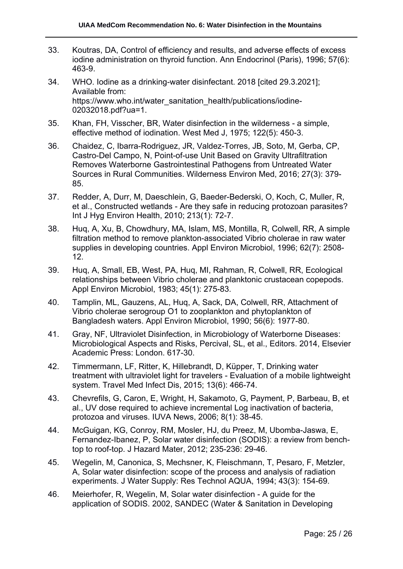- 33. Koutras, DA, Control of efficiency and results, and adverse effects of excess iodine administration on thyroid function. Ann Endocrinol (Paris), 1996; 57(6): 463-9.
- 34. WHO. Iodine as a drinking-water disinfectant. 2018 [cited 29.3.2021]; Available from: https://www.who.int/water\_sanitation\_health/publications/iodine-02032018.pdf?ua=1.
- 35. Khan, FH, Visscher, BR, Water disinfection in the wilderness a simple, effective method of iodination. West Med J, 1975; 122(5): 450-3.
- 36. Chaidez, C, Ibarra-Rodriguez, JR, Valdez-Torres, JB, Soto, M, Gerba, CP, Castro-Del Campo, N, Point-of-use Unit Based on Gravity Ultrafiltration Removes Waterborne Gastrointestinal Pathogens from Untreated Water Sources in Rural Communities. Wilderness Environ Med, 2016; 27(3): 379- 85.
- 37. Redder, A, Durr, M, Daeschlein, G, Baeder-Bederski, O, Koch, C, Muller, R, et al., Constructed wetlands - Are they safe in reducing protozoan parasites? Int J Hyg Environ Health, 2010; 213(1): 72-7.
- 38. Huq, A, Xu, B, Chowdhury, MA, Islam, MS, Montilla, R, Colwell, RR, A simple filtration method to remove plankton-associated Vibrio cholerae in raw water supplies in developing countries. Appl Environ Microbiol, 1996; 62(7): 2508- 12.
- 39. Huq, A, Small, EB, West, PA, Huq, MI, Rahman, R, Colwell, RR, Ecological relationships between Vibrio cholerae and planktonic crustacean copepods. Appl Environ Microbiol, 1983; 45(1): 275-83.
- 40. Tamplin, ML, Gauzens, AL, Huq, A, Sack, DA, Colwell, RR, Attachment of Vibrio cholerae serogroup O1 to zooplankton and phytoplankton of Bangladesh waters. Appl Environ Microbiol, 1990; 56(6): 1977-80.
- 41. Gray, NF, Ultraviolet Disinfection, in Microbiology of Waterborne Diseases: Microbiological Aspects and Risks, Percival, SL, et al., Editors. 2014, Elsevier Academic Press: London. 617-30.
- 42. Timmermann, LF, Ritter, K, Hillebrandt, D, Küpper, T, Drinking water treatment with ultraviolet light for travelers - Evaluation of a mobile lightweight system. Travel Med Infect Dis, 2015; 13(6): 466-74.
- 43. Chevrefils, G, Caron, E, Wright, H, Sakamoto, G, Payment, P, Barbeau, B, et al., UV dose required to achieve incremental Log inactivation of bacteria, protozoa and viruses. IUVA News, 2006; 8(1): 38-45.
- 44. McGuigan, KG, Conroy, RM, Mosler, HJ, du Preez, M, Ubomba-Jaswa, E, Fernandez-Ibanez, P, Solar water disinfection (SODIS): a review from benchtop to roof-top. J Hazard Mater, 2012; 235-236: 29-46.
- 45. Wegelin, M, Canonica, S, Mechsner, K, Fleischmann, T, Pesaro, F, Metzler, A, Solar water disinfection: scope of the process and analysis of radiation experiments. J Water Supply: Res Technol AQUA, 1994; 43(3): 154-69.
- 46. Meierhofer, R, Wegelin, M, Solar water disinfection A guide for the application of SODIS. 2002, SANDEC (Water & Sanitation in Developing